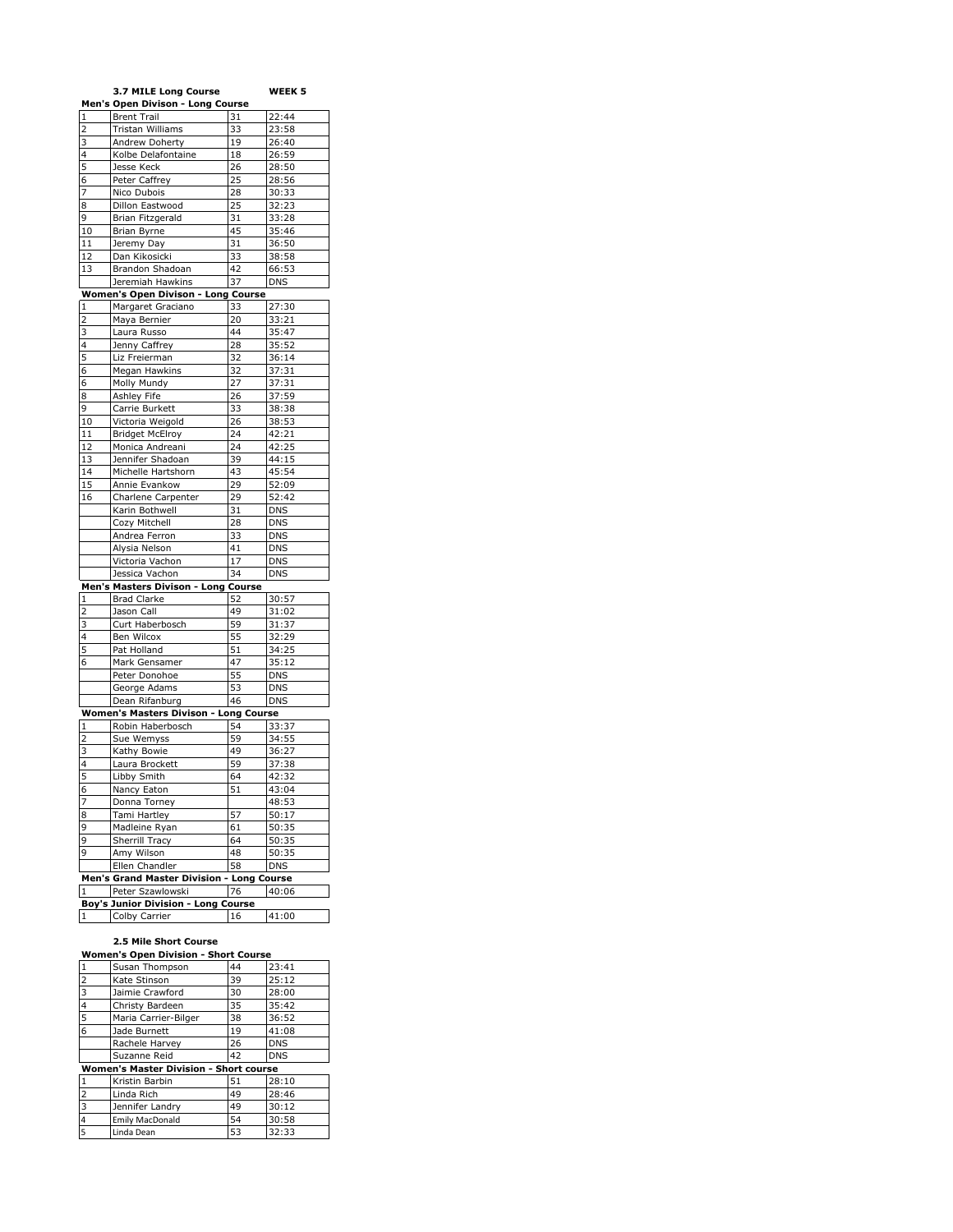|                                     | 3.7 MILE Long Course                      |    | WEEK 5     |
|-------------------------------------|-------------------------------------------|----|------------|
|                                     | Men's Open Divison - Long Course          |    |            |
| $\mathbf{1}$                        | <b>Brent Trail</b>                        | 31 | 22:44      |
| $\overline{2}$                      | Tristan Williams                          | 33 | 23:58      |
| 3                                   | Andrew Doherty                            | 19 | 26:40      |
| 4                                   | Kolbe Delafontaine                        | 18 | 26:59      |
| 5                                   | Jesse Keck                                | 26 | 28:50      |
| 6                                   | Peter Caffrey                             | 25 | 28:56      |
| 7                                   | Nico Dubois                               | 28 | 30:33      |
| 8                                   | Dillon Eastwood                           | 25 | 32:23      |
| 9                                   | Brian Fitzgerald                          | 31 | 33:28      |
| 10                                  | Brian Byrne                               | 45 | 35:46      |
|                                     |                                           |    | 36:50      |
| 11                                  | Jeremy Day                                | 31 |            |
| 12                                  | Dan Kikosicki                             | 33 | 38:58      |
| 13                                  | Brandon Shadoan                           | 42 | 66:53      |
|                                     | Jeremiah Hawkins                          | 37 | <b>DNS</b> |
|                                     | <b>Women's Open Divison - Long Course</b> |    |            |
| 1                                   | Margaret Graciano                         | 33 | 27:30      |
| $\overline{c}$                      | Maya Bernier                              | 20 | 33:21      |
| 3                                   | Laura Russo                               | 44 | 35:47      |
| 4                                   | Jenny Caffrey                             | 28 | 35:52      |
| 5                                   | Liz Freierman                             | 32 | 36:14      |
| 6                                   | Megan Hawkins                             | 32 | 37:31      |
| 6                                   | Molly Mundy                               | 27 | 37:31      |
| 8                                   | Ashley Fife                               | 26 | 37:59      |
| 9                                   | Carrie Burkett                            | 33 | 38:38      |
| 10                                  | Victoria Weigold                          | 26 | 38:53      |
| 11                                  | <b>Bridget McElroy</b>                    | 24 | 42:21      |
| 12                                  |                                           | 24 | 42:25      |
|                                     | Monica Andreani                           |    |            |
| 13                                  | Jennifer Shadoan                          | 39 | 44:15      |
| 14                                  | Michelle Hartshorn                        | 43 | 45:54      |
| 15                                  | Annie Evankow                             | 29 | 52:09      |
| 16                                  | Charlene Carpenter                        | 29 | 52:42      |
|                                     | Karin Bothwell                            | 31 | <b>DNS</b> |
|                                     | Cozy Mitchell                             | 28 | <b>DNS</b> |
|                                     | Andrea Ferron                             | 33 | <b>DNS</b> |
|                                     | Alysia Nelson                             | 41 | <b>DNS</b> |
|                                     | Victoria Vachon                           | 17 | <b>DNS</b> |
|                                     | Jessica Vachon                            | 34 | <b>DNS</b> |
|                                     | Men's Masters Divison - Long Course       |    |            |
| 1                                   | <b>Brad Clarke</b>                        | 52 | 30:57      |
| 2                                   | Jason Call                                | 49 | 31:02      |
| 3                                   | Curt Haberbosch                           | 59 | 31:37      |
| 4                                   | Ben Wilcox                                | 55 | 32:29      |
| 5                                   | Pat Holland                               | 51 | 34:25      |
| 6                                   | Mark Gensamer                             | 47 | 35:12      |
|                                     | Peter Donohoe                             | 55 | <b>DNS</b> |
|                                     | George Adams                              | 53 | <b>DNS</b> |
|                                     | Dean Rifanburg                            | 46 | <b>DNS</b> |
|                                     | Women's Masters Divison - Long Course     |    |            |
| $\mathbf{1}$                        | Robin Haberbosch                          | 54 | 33:37      |
|                                     |                                           |    | 34:55      |
| 2                                   | Sue Wemyss                                | 59 |            |
| 3                                   | Kathy Bowie                               | 49 | 36:27      |
| 4                                   | Laura Brockett                            | 59 | 37:38      |
| 5                                   | Libby Smith                               | 64 | 42:32      |
| 6                                   | Nancy Eaton                               | 51 | 43:04      |
| 7                                   | Donna Torney                              |    | 48:53      |
| 8                                   | Tami Hartley                              | 57 | 50:17      |
| 9                                   | Madleine Ryan                             | 61 | 50:35      |
| 9                                   | Sherrill Tracy                            | 64 | 50:35      |
| 9                                   | Amy Wilson                                | 48 | 50:35      |
|                                     | Ellen Chandler                            | 58 | <b>DNS</b> |
|                                     | Men's Grand Master Division - Long Course |    |            |
| $\mathbf{1}$                        | Peter Szawlowski                          | 76 | 40:06      |
| Boy's Junior Division - Long Course |                                           |    |            |
| $\mathbf{1}$                        | Colby Carrier                             | 16 | 41:00      |
|                                     |                                           |    |            |

## **2.5 Mile Short Course Women's Open Division - Short Course**

| .                                             |                        |    |            |
|-----------------------------------------------|------------------------|----|------------|
| 1                                             | Susan Thompson         | 44 | 23:41      |
| $\overline{2}$                                | Kate Stinson           | 39 | 25:12      |
| 3                                             | Jaimie Crawford        | 30 | 28:00      |
| $\overline{\mathbf{4}}$                       | Christy Bardeen        | 35 | 35:42      |
| $\overline{5}$                                | Maria Carrier-Bilger   | 38 | 36:52      |
| 6                                             | Jade Burnett           | 19 | 41:08      |
|                                               | Rachele Harvey         | 26 | <b>DNS</b> |
|                                               | Suzanne Reid           | 42 | <b>DNS</b> |
| <b>Women's Master Division - Short course</b> |                        |    |            |
| 1                                             | Kristin Barbin         | 51 | 28:10      |
| $\overline{2}$                                | Linda Rich             | 49 | 28:46      |
| 3                                             | Jennifer Landry        | 49 | 30:12      |
| 4                                             | <b>Emily MacDonald</b> | 54 | 30:58      |
| 5                                             | Linda Dean             | 53 | 32:33      |